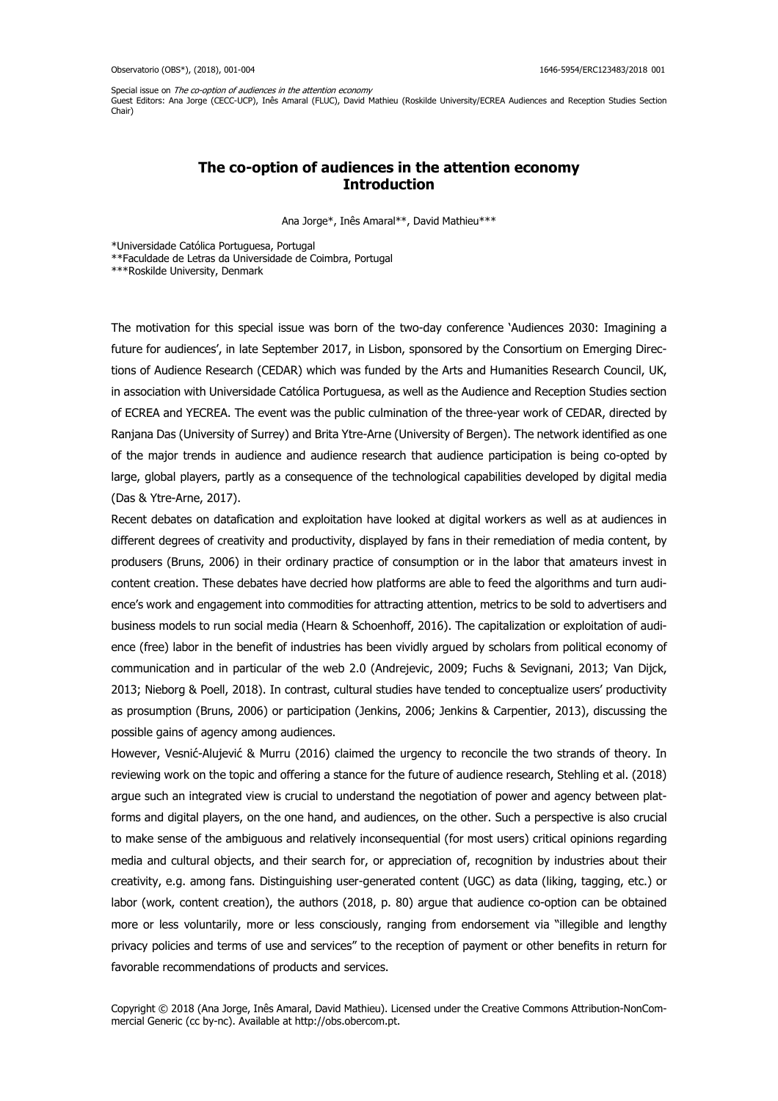Special issue on The co-option of audiences in the attention economy

Guest Editors: Ana Jorge (CECC-UCP), Inês Amaral (FLUC), David Mathieu (Roskilde University/ECREA Audiences and Reception Studies Section Chair)

## **The co-option of audiences in the attention economy Introduction**

Ana Jorge\*, Inês Amaral\*\*, David Mathieu\*\*\*

\*Universidade Católica Portuguesa, Portugal

\*\*Faculdade de Letras da Universidade de Coimbra, Portugal

\*\*\*Roskilde University, Denmark

The motivation for this special issue was born of the two-day conference 'Audiences 2030: Imagining a future for audiences', in late September 2017, in Lisbon, sponsored by the Consortium on Emerging Directions of Audience Research (CEDAR) which was funded by the Arts and Humanities Research Council, UK, in association with Universidade Católica Portuguesa, as well as the Audience and Reception Studies section of ECREA and YECREA. The event was the public culmination of the three-year work of CEDAR, directed by Ranjana Das (University of Surrey) and Brita Ytre-Arne (University of Bergen). The network identified as one of the major trends in audience and audience research that audience participation is being co-opted by large, global players, partly as a consequence of the technological capabilities developed by digital media (Das & Ytre-Arne, 2017).

Recent debates on datafication and exploitation have looked at digital workers as well as at audiences in different degrees of creativity and productivity, displayed by fans in their remediation of media content, by produsers (Bruns, 2006) in their ordinary practice of consumption or in the labor that amateurs invest in content creation. These debates have decried how platforms are able to feed the algorithms and turn audience's work and engagement into commodities for attracting attention, metrics to be sold to advertisers and business models to run social media (Hearn & Schoenhoff, 2016). The capitalization or exploitation of audience (free) labor in the benefit of industries has been vividly argued by scholars from political economy of communication and in particular of the web 2.0 (Andrejevic, 2009; Fuchs & Sevignani, 2013; Van Dijck, 2013; Nieborg & Poell, 2018). In contrast, cultural studies have tended to conceptualize users' productivity as prosumption (Bruns, 2006) or participation (Jenkins, 2006; Jenkins & Carpentier, 2013), discussing the possible gains of agency among audiences.

However, Vesnić-Alujević & Murru (2016) claimed the urgency to reconcile the two strands of theory. In reviewing work on the topic and offering a stance for the future of audience research, Stehling et al. (2018) argue such an integrated view is crucial to understand the negotiation of power and agency between platforms and digital players, on the one hand, and audiences, on the other. Such a perspective is also crucial to make sense of the ambiguous and relatively inconsequential (for most users) critical opinions regarding media and cultural objects, and their search for, or appreciation of, recognition by industries about their creativity, e.g. among fans. Distinguishing user-generated content (UGC) as data (liking, tagging, etc.) or labor (work, content creation), the authors (2018, p. 80) argue that audience co-option can be obtained more or less voluntarily, more or less consciously, ranging from endorsement via "illegible and lengthy privacy policies and terms of use and services" to the reception of payment or other benefits in return for favorable recommendations of products and services.

Copyright © 2018 (Ana Jorge, Inês Amaral, David Mathieu). Licensed under the Creative Commons Attribution-NonCommercial Generic (cc by-nc). Available at http://obs.obercom.pt.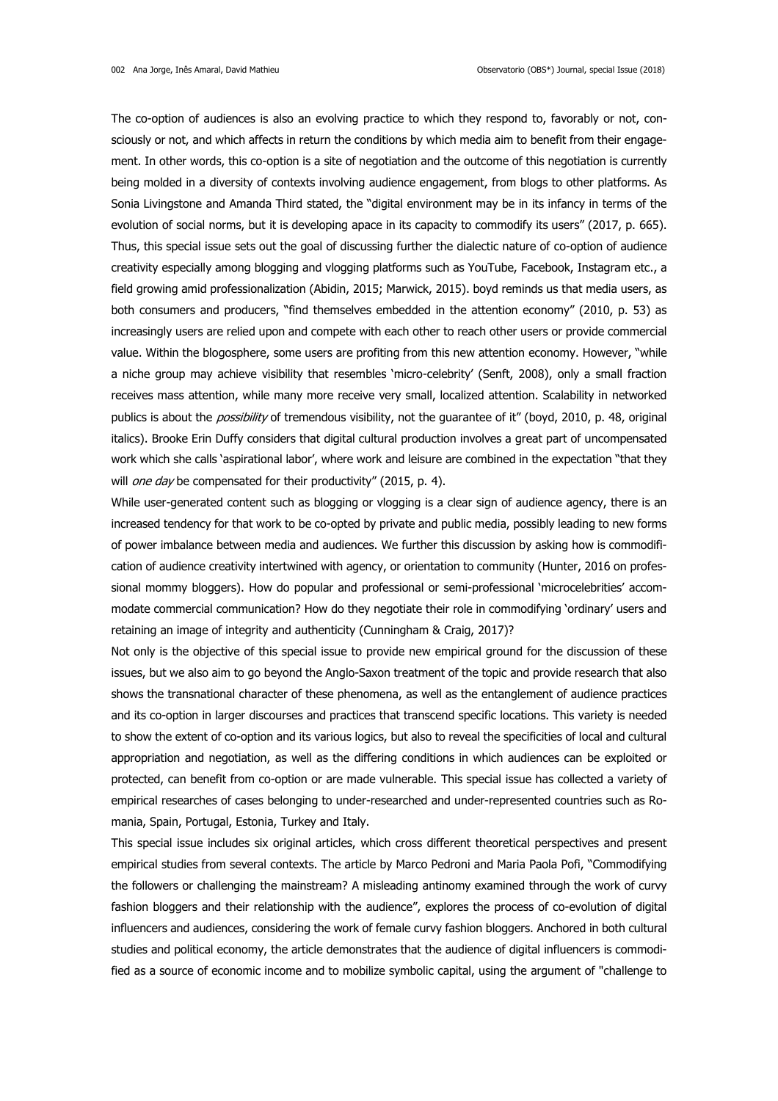The co-option of audiences is also an evolving practice to which they respond to, favorably or not, consciously or not, and which affects in return the conditions by which media aim to benefit from their engagement. In other words, this co-option is a site of negotiation and the outcome of this negotiation is currently being molded in a diversity of contexts involving audience engagement, from blogs to other platforms. As Sonia Livingstone and Amanda Third stated, the "digital environment may be in its infancy in terms of the evolution of social norms, but it is developing apace in its capacity to commodify its users" (2017, p. 665). Thus, this special issue sets out the goal of discussing further the dialectic nature of co-option of audience creativity especially among blogging and vlogging platforms such as YouTube, Facebook, Instagram etc., a field growing amid professionalization (Abidin, 2015; Marwick, 2015). boyd reminds us that media users, as both consumers and producers, "find themselves embedded in the attention economy" (2010, p. 53) as increasingly users are relied upon and compete with each other to reach other users or provide commercial value. Within the blogosphere, some users are profiting from this new attention economy. However, "while a niche group may achieve visibility that resembles 'micro-celebrity' (Senft, 2008), only a small fraction receives mass attention, while many more receive very small, localized attention. Scalability in networked publics is about the *possibility* of tremendous visibility, not the quarantee of it" (boyd, 2010, p. 48, original italics). Brooke Erin Duffy considers that digital cultural production involves a great part of uncompensated work which she calls 'aspirational labor', where work and leisure are combined in the expectation "that they will *one day* be compensated for their productivity" (2015, p. 4).

While user-generated content such as blogging or vlogging is a clear sign of audience agency, there is an increased tendency for that work to be co-opted by private and public media, possibly leading to new forms of power imbalance between media and audiences. We further this discussion by asking how is commodification of audience creativity intertwined with agency, or orientation to community (Hunter, 2016 on professional mommy bloggers). How do popular and professional or semi-professional 'microcelebrities' accommodate commercial communication? How do they negotiate their role in commodifying 'ordinary' users and retaining an image of integrity and authenticity (Cunningham & Craig, 2017)?

Not only is the objective of this special issue to provide new empirical ground for the discussion of these issues, but we also aim to go beyond the Anglo-Saxon treatment of the topic and provide research that also shows the transnational character of these phenomena, as well as the entanglement of audience practices and its co-option in larger discourses and practices that transcend specific locations. This variety is needed to show the extent of co-option and its various logics, but also to reveal the specificities of local and cultural appropriation and negotiation, as well as the differing conditions in which audiences can be exploited or protected, can benefit from co-option or are made vulnerable. This special issue has collected a variety of empirical researches of cases belonging to under-researched and under-represented countries such as Romania, Spain, Portugal, Estonia, Turkey and Italy.

This special issue includes six original articles, which cross different theoretical perspectives and present empirical studies from several contexts. The article by Marco Pedroni and Maria Paola Pofi, "Commodifying the followers or challenging the mainstream? A misleading antinomy examined through the work of curvy fashion bloggers and their relationship with the audience", explores the process of co-evolution of digital influencers and audiences, considering the work of female curvy fashion bloggers. Anchored in both cultural studies and political economy, the article demonstrates that the audience of digital influencers is commodified as a source of economic income and to mobilize symbolic capital, using the argument of "challenge to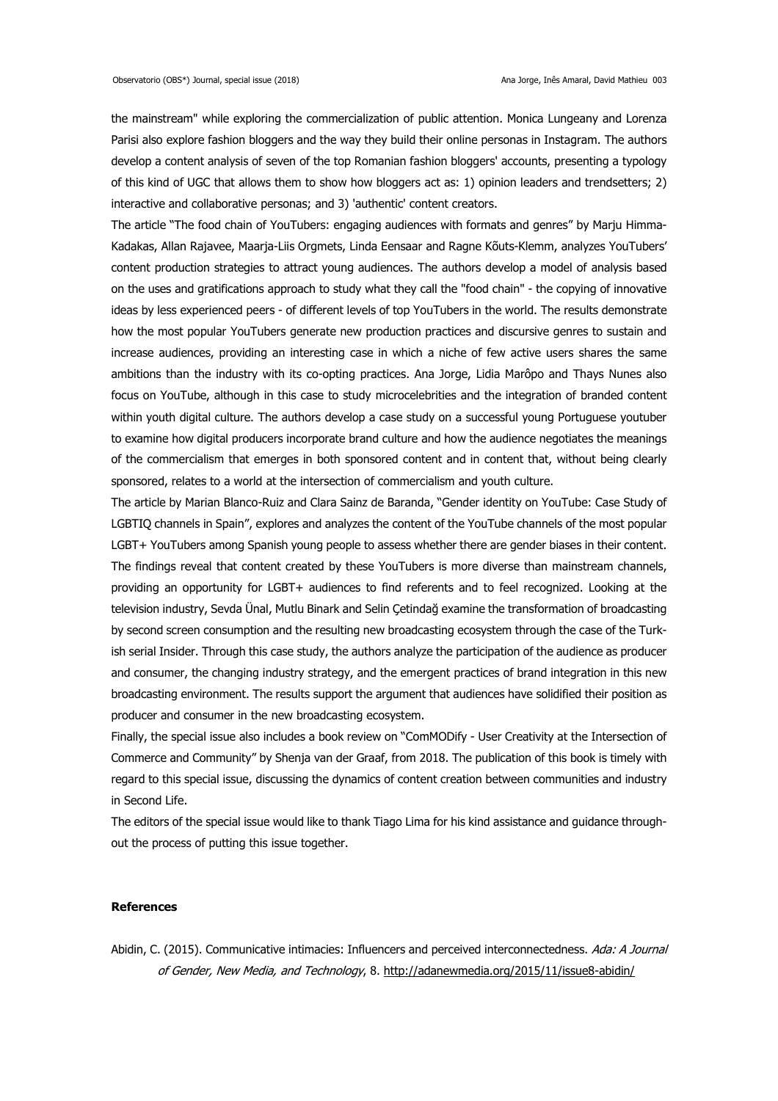the mainstream" while exploring the commercialization of public attention. Monica Lungeany and Lorenza Parisi also explore fashion bloggers and the way they build their online personas in Instagram. The authors develop a content analysis of seven of the top Romanian fashion bloggers' accounts, presenting a typology of this kind of UGC that allows them to show how bloggers act as: 1) opinion leaders and trendsetters; 2) interactive and collaborative personas; and 3) 'authentic' content creators.

The article "The food chain of YouTubers: engaging audiences with formats and genres" by Marju Himma-Kadakas, Allan Rajavee, Maarja-Liis Orgmets, Linda Eensaar and Ragne Kõuts-Klemm, analyzes YouTubers' content production strategies to attract young audiences. The authors develop a model of analysis based on the uses and gratifications approach to study what they call the "food chain" - the copying of innovative ideas by less experienced peers - of different levels of top YouTubers in the world. The results demonstrate how the most popular YouTubers generate new production practices and discursive genres to sustain and increase audiences, providing an interesting case in which a niche of few active users shares the same ambitions than the industry with its co-opting practices. Ana Jorge, Lidia Marôpo and Thays Nunes also focus on YouTube, although in this case to study microcelebrities and the integration of branded content within youth digital culture. The authors develop a case study on a successful young Portuguese youtuber to examine how digital producers incorporate brand culture and how the audience negotiates the meanings of the commercialism that emerges in both sponsored content and in content that, without being clearly sponsored, relates to a world at the intersection of commercialism and youth culture.

The article by Marian Blanco-Ruiz and Clara Sainz de Baranda, "Gender identity on YouTube: Case Study of LGBTIQ channels in Spain", explores and analyzes the content of the YouTube channels of the most popular LGBT+ YouTubers among Spanish young people to assess whether there are gender biases in their content. The findings reveal that content created by these YouTubers is more diverse than mainstream channels, providing an opportunity for LGBT+ audiences to find referents and to feel recognized. Looking at the television industry, Sevda Ünal, Mutlu Binark and Selin Çetindağ examine the transformation of broadcasting by second screen consumption and the resulting new broadcasting ecosystem through the case of the Turkish serial Insider. Through this case study, the authors analyze the participation of the audience as producer and consumer, the changing industry strategy, and the emergent practices of brand integration in this new broadcasting environment. The results support the argument that audiences have solidified their position as producer and consumer in the new broadcasting ecosystem.

Finally, the special issue also includes a book review on "ComMODify - User Creativity at the Intersection of Commerce and Community" by Shenja van der Graaf, from 2018. The publication of this book is timely with regard to this special issue, discussing the dynamics of content creation between communities and industry in Second Life.

The editors of the special issue would like to thank Tiago Lima for his kind assistance and guidance throughout the process of putting this issue together.

## **References**

Abidin, C. (2015). Communicative intimacies: Influencers and perceived interconnectedness. Ada: A Journal of Gender, New Media, and Technology, 8. <http://adanewmedia.org/2015/11/issue8-abidin/>